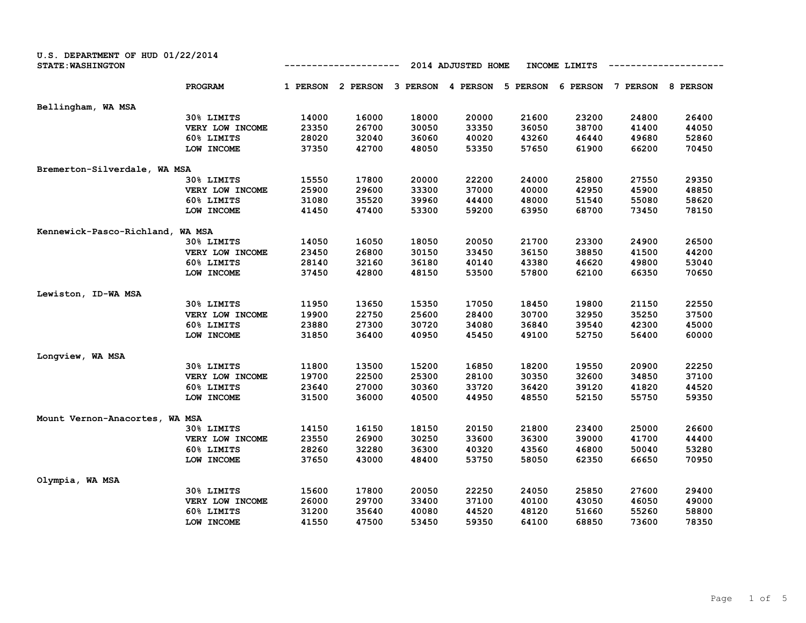| U.S. DEPARTMENT OF HUD 01/22/2014<br><b>STATE: WASHINGTON</b> |                 |          |          |          | 2014 ADJUSTED HOME |          | INCOME LIMITS |          |          |
|---------------------------------------------------------------|-----------------|----------|----------|----------|--------------------|----------|---------------|----------|----------|
|                                                               | <b>PROGRAM</b>  | 1 PERSON | 2 PERSON | 3 PERSON | 4 PERSON           | 5 PERSON | 6 PERSON      | 7 PERSON | 8 PERSON |
| Bellingham, WA MSA                                            |                 |          |          |          |                    |          |               |          |          |
|                                                               | 30% LIMITS      | 14000    | 16000    | 18000    | 20000              | 21600    | 23200         | 24800    | 26400    |
|                                                               | VERY LOW INCOME | 23350    | 26700    | 30050    | 33350              | 36050    | 38700         | 41400    | 44050    |
|                                                               | 60% LIMITS      | 28020    | 32040    | 36060    | 40020              | 43260    | 46440         | 49680    | 52860    |
|                                                               | LOW INCOME      | 37350    | 42700    | 48050    | 53350              | 57650    | 61900         | 66200    | 70450    |
| Bremerton-Silverdale, WA MSA                                  |                 |          |          |          |                    |          |               |          |          |
|                                                               | 30% LIMITS      | 15550    | 17800    | 20000    | 22200              | 24000    | 25800         | 27550    | 29350    |
|                                                               | VERY LOW INCOME | 25900    | 29600    | 33300    | 37000              | 40000    | 42950         | 45900    | 48850    |
|                                                               | 60% LIMITS      | 31080    | 35520    | 39960    | 44400              | 48000    | 51540         | 55080    | 58620    |
|                                                               | LOW INCOME      | 41450    | 47400    | 53300    | 59200              | 63950    | 68700         | 73450    | 78150    |
| Kennewick-Pasco-Richland,                                     | WA MSA          |          |          |          |                    |          |               |          |          |
|                                                               | 30% LIMITS      | 14050    | 16050    | 18050    | 20050              | 21700    | 23300         | 24900    | 26500    |
|                                                               | VERY LOW INCOME | 23450    | 26800    | 30150    | 33450              | 36150    | 38850         | 41500    | 44200    |
|                                                               | 60% LIMITS      | 28140    | 32160    | 36180    | 40140              | 43380    | 46620         | 49800    | 53040    |
|                                                               | LOW INCOME      | 37450    | 42800    | 48150    | 53500              | 57800    | 62100         | 66350    | 70650    |
| Lewiston, ID-WA MSA                                           |                 |          |          |          |                    |          |               |          |          |
|                                                               | 30% LIMITS      | 11950    | 13650    | 15350    | 17050              | 18450    | 19800         | 21150    | 22550    |
|                                                               | VERY LOW INCOME | 19900    | 22750    | 25600    | 28400              | 30700    | 32950         | 35250    | 37500    |
|                                                               | 60% LIMITS      | 23880    | 27300    | 30720    | 34080              | 36840    | 39540         | 42300    | 45000    |
|                                                               | LOW INCOME      | 31850    | 36400    | 40950    | 45450              | 49100    | 52750         | 56400    | 60000    |
| Longview, WA MSA                                              |                 |          |          |          |                    |          |               |          |          |
|                                                               | 30% LIMITS      | 11800    | 13500    | 15200    | 16850              | 18200    | 19550         | 20900    | 22250    |
|                                                               | VERY LOW INCOME | 19700    | 22500    | 25300    | 28100              | 30350    | 32600         | 34850    | 37100    |
|                                                               | 60% LIMITS      | 23640    | 27000    | 30360    | 33720              | 36420    | 39120         | 41820    | 44520    |
|                                                               | LOW INCOME      | 31500    | 36000    | 40500    | 44950              | 48550    | 52150         | 55750    | 59350    |
| Mount Vernon-Anacortes, WA MSA                                |                 |          |          |          |                    |          |               |          |          |
|                                                               | 30% LIMITS      | 14150    | 16150    | 18150    | 20150              | 21800    | 23400         | 25000    | 26600    |
|                                                               | VERY LOW INCOME | 23550    | 26900    | 30250    | 33600              | 36300    | 39000         | 41700    | 44400    |
|                                                               | 60% LIMITS      | 28260    | 32280    | 36300    | 40320              | 43560    | 46800         | 50040    | 53280    |
|                                                               | LOW INCOME      | 37650    | 43000    | 48400    | 53750              | 58050    | 62350         | 66650    | 70950    |
| Olympia, WA MSA                                               |                 |          |          |          |                    |          |               |          |          |
|                                                               | 30% LIMITS      | 15600    | 17800    | 20050    | 22250              | 24050    | 25850         | 27600    | 29400    |
|                                                               | VERY LOW INCOME | 26000    | 29700    | 33400    | 37100              | 40100    | 43050         | 46050    | 49000    |
|                                                               | 60% LIMITS      | 31200    | 35640    | 40080    | 44520              | 48120    | 51660         | 55260    | 58800    |
|                                                               | LOW INCOME      | 41550    | 47500    | 53450    | 59350              | 64100    | 68850         | 73600    | 78350    |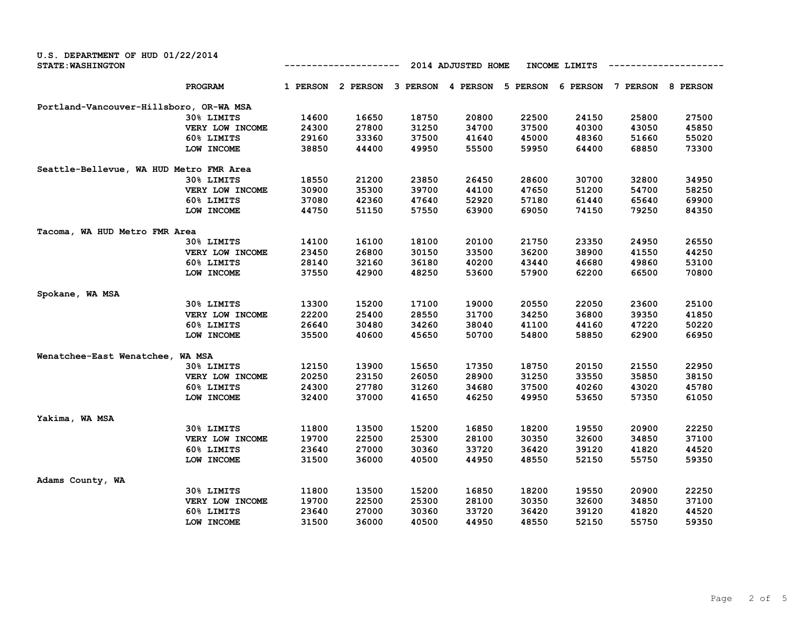| U.S. DEPARTMENT OF HUD 01/22/2014<br><b>STATE: WASHINGTON</b> |                 |          |          |          | 2014 ADJUSTED HOME |          | INCOME LIMITS |          |          |
|---------------------------------------------------------------|-----------------|----------|----------|----------|--------------------|----------|---------------|----------|----------|
|                                                               | <b>PROGRAM</b>  | 1 PERSON | 2 PERSON | 3 PERSON | 4 PERSON           | 5 PERSON | 6 PERSON      | 7 PERSON | 8 PERSON |
| Portland-Vancouver-Hillsboro, OR-WA MSA                       |                 |          |          |          |                    |          |               |          |          |
|                                                               | 30% LIMITS      | 14600    | 16650    | 18750    | 20800              | 22500    | 24150         | 25800    | 27500    |
|                                                               | VERY LOW INCOME | 24300    | 27800    | 31250    | 34700              | 37500    | 40300         | 43050    | 45850    |
|                                                               | 60% LIMITS      | 29160    | 33360    | 37500    | 41640              | 45000    | 48360         | 51660    | 55020    |
|                                                               | LOW INCOME      | 38850    | 44400    | 49950    | 55500              | 59950    | 64400         | 68850    | 73300    |
| Seattle-Bellevue, WA HUD Metro FMR Area                       |                 |          |          |          |                    |          |               |          |          |
|                                                               | 30% LIMITS      | 18550    | 21200    | 23850    | 26450              | 28600    | 30700         | 32800    | 34950    |
|                                                               | VERY LOW INCOME | 30900    | 35300    | 39700    | 44100              | 47650    | 51200         | 54700    | 58250    |
|                                                               | 60% LIMITS      | 37080    | 42360    | 47640    | 52920              | 57180    | 61440         | 65640    | 69900    |
|                                                               | LOW INCOME      | 44750    | 51150    | 57550    | 63900              | 69050    | 74150         | 79250    | 84350    |
| Tacoma, WA HUD Metro FMR Area                                 |                 |          |          |          |                    |          |               |          |          |
|                                                               | 30% LIMITS      | 14100    | 16100    | 18100    | 20100              | 21750    | 23350         | 24950    | 26550    |
|                                                               | VERY LOW INCOME | 23450    | 26800    | 30150    | 33500              | 36200    | 38900         | 41550    | 44250    |
|                                                               | 60% LIMITS      | 28140    | 32160    | 36180    | 40200              | 43440    | 46680         | 49860    | 53100    |
|                                                               | LOW INCOME      | 37550    | 42900    | 48250    | 53600              | 57900    | 62200         | 66500    | 70800    |
| Spokane, WA MSA                                               |                 |          |          |          |                    |          |               |          |          |
|                                                               | 30% LIMITS      | 13300    | 15200    | 17100    | 19000              | 20550    | 22050         | 23600    | 25100    |
|                                                               | VERY LOW INCOME | 22200    | 25400    | 28550    | 31700              | 34250    | 36800         | 39350    | 41850    |
|                                                               | 60% LIMITS      | 26640    | 30480    | 34260    | 38040              | 41100    | 44160         | 47220    | 50220    |
|                                                               | LOW INCOME      | 35500    | 40600    | 45650    | 50700              | 54800    | 58850         | 62900    | 66950    |
| Wenatchee-East Wenatchee, WA MSA                              |                 |          |          |          |                    |          |               |          |          |
|                                                               | 30% LIMITS      | 12150    | 13900    | 15650    | 17350              | 18750    | 20150         | 21550    | 22950    |
|                                                               | VERY LOW INCOME | 20250    | 23150    | 26050    | 28900              | 31250    | 33550         | 35850    | 38150    |
|                                                               | 60% LIMITS      | 24300    | 27780    | 31260    | 34680              | 37500    | 40260         | 43020    | 45780    |
|                                                               | LOW INCOME      | 32400    | 37000    | 41650    | 46250              | 49950    | 53650         | 57350    | 61050    |
| Yakima, WA MSA                                                |                 |          |          |          |                    |          |               |          |          |
|                                                               | 30% LIMITS      | 11800    | 13500    | 15200    | 16850              | 18200    | 19550         | 20900    | 22250    |
|                                                               | VERY LOW INCOME | 19700    | 22500    | 25300    | 28100              | 30350    | 32600         | 34850    | 37100    |
|                                                               | 60% LIMITS      | 23640    | 27000    | 30360    | 33720              | 36420    | 39120         | 41820    | 44520    |
|                                                               | LOW INCOME      | 31500    | 36000    | 40500    | 44950              | 48550    | 52150         | 55750    | 59350    |
| Adams County, WA                                              |                 |          |          |          |                    |          |               |          |          |
|                                                               | 30% LIMITS      | 11800    | 13500    | 15200    | 16850              | 18200    | 19550         | 20900    | 22250    |
|                                                               | VERY LOW INCOME | 19700    | 22500    | 25300    | 28100              | 30350    | 32600         | 34850    | 37100    |
|                                                               | 60% LIMITS      | 23640    | 27000    | 30360    | 33720              | 36420    | 39120         | 41820    | 44520    |
|                                                               | LOW INCOME      | 31500    | 36000    | 40500    | 44950              | 48550    | 52150         | 55750    | 59350    |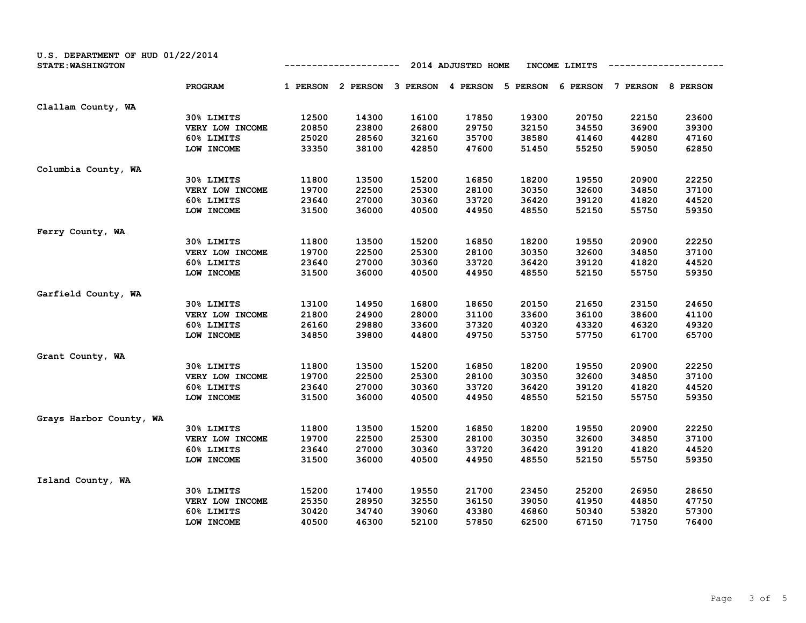| <b>U.S. DEPARTMENT OF HUD 01/22/2014</b><br><b>STATE: WASHINGTON</b> |                 |          |          |          | 2014 ADJUSTED HOME |          | INCOME LIMITS |          |          |
|----------------------------------------------------------------------|-----------------|----------|----------|----------|--------------------|----------|---------------|----------|----------|
|                                                                      | <b>PROGRAM</b>  | 1 PERSON | 2 PERSON | 3 PERSON | 4 PERSON           | 5 PERSON | 6 PERSON      | 7 PERSON | 8 PERSON |
| Clallam County, WA                                                   |                 |          |          |          |                    |          |               |          |          |
|                                                                      | 30% LIMITS      | 12500    | 14300    | 16100    | 17850              | 19300    | 20750         | 22150    | 23600    |
|                                                                      | VERY LOW INCOME | 20850    | 23800    | 26800    | 29750              | 32150    | 34550         | 36900    | 39300    |
|                                                                      | 60% LIMITS      | 25020    | 28560    | 32160    | 35700              | 38580    | 41460         | 44280    | 47160    |
|                                                                      | LOW INCOME      | 33350    | 38100    | 42850    | 47600              | 51450    | 55250         | 59050    | 62850    |
| Columbia County, WA                                                  |                 |          |          |          |                    |          |               |          |          |
|                                                                      | 30% LIMITS      | 11800    | 13500    | 15200    | 16850              | 18200    | 19550         | 20900    | 22250    |
|                                                                      | VERY LOW INCOME | 19700    | 22500    | 25300    | 28100              | 30350    | 32600         | 34850    | 37100    |
|                                                                      | 60% LIMITS      | 23640    | 27000    | 30360    | 33720              | 36420    | 39120         | 41820    | 44520    |
|                                                                      | LOW INCOME      | 31500    | 36000    | 40500    | 44950              | 48550    | 52150         | 55750    | 59350    |
| Ferry County, WA                                                     |                 |          |          |          |                    |          |               |          |          |
|                                                                      | 30% LIMITS      | 11800    | 13500    | 15200    | 16850              | 18200    | 19550         | 20900    | 22250    |
|                                                                      | VERY LOW INCOME | 19700    | 22500    | 25300    | 28100              | 30350    | 32600         | 34850    | 37100    |
|                                                                      | 60% LIMITS      | 23640    | 27000    | 30360    | 33720              | 36420    | 39120         | 41820    | 44520    |
|                                                                      | LOW INCOME      | 31500    | 36000    | 40500    | 44950              | 48550    | 52150         | 55750    | 59350    |
| Garfield County, WA                                                  |                 |          |          |          |                    |          |               |          |          |
|                                                                      | 30% LIMITS      | 13100    | 14950    | 16800    | 18650              | 20150    | 21650         | 23150    | 24650    |
|                                                                      | VERY LOW INCOME | 21800    | 24900    | 28000    | 31100              | 33600    | 36100         | 38600    | 41100    |
|                                                                      | 60% LIMITS      | 26160    | 29880    | 33600    | 37320              | 40320    | 43320         | 46320    | 49320    |
|                                                                      | LOW INCOME      | 34850    | 39800    | 44800    | 49750              | 53750    | 57750         | 61700    | 65700    |
|                                                                      |                 |          |          |          |                    |          |               |          |          |
| Grant County, WA                                                     | 30% LIMITS      | 11800    | 13500    | 15200    | 16850              | 18200    | 19550         | 20900    | 22250    |
|                                                                      | VERY LOW INCOME | 19700    | 22500    | 25300    | 28100              | 30350    | 32600         | 34850    | 37100    |
|                                                                      | 60% LIMITS      | 23640    | 27000    | 30360    | 33720              | 36420    | 39120         | 41820    | 44520    |
|                                                                      | LOW INCOME      | 31500    | 36000    | 40500    | 44950              | 48550    | 52150         | 55750    | 59350    |
|                                                                      |                 |          |          |          |                    |          |               |          |          |
| Grays Harbor County, WA                                              |                 |          |          |          |                    |          |               |          |          |
|                                                                      | 30% LIMITS      | 11800    | 13500    | 15200    | 16850              | 18200    | 19550         | 20900    | 22250    |
|                                                                      | VERY LOW INCOME | 19700    | 22500    | 25300    | 28100              | 30350    | 32600         | 34850    | 37100    |
|                                                                      | 60% LIMITS      | 23640    | 27000    | 30360    | 33720              | 36420    | 39120         | 41820    | 44520    |
|                                                                      | LOW INCOME      | 31500    | 36000    | 40500    | 44950              | 48550    | 52150         | 55750    | 59350    |
| Island County, WA                                                    |                 |          |          |          |                    |          |               |          |          |
|                                                                      | 30% LIMITS      | 15200    | 17400    | 19550    | 21700              | 23450    | 25200         | 26950    | 28650    |
|                                                                      | VERY LOW INCOME | 25350    | 28950    | 32550    | 36150              | 39050    | 41950         | 44850    | 47750    |
|                                                                      | 60% LIMITS      | 30420    | 34740    | 39060    | 43380              | 46860    | 50340         | 53820    | 57300    |
|                                                                      | LOW INCOME      | 40500    | 46300    | 52100    | 57850              | 62500    | 67150         | 71750    | 76400    |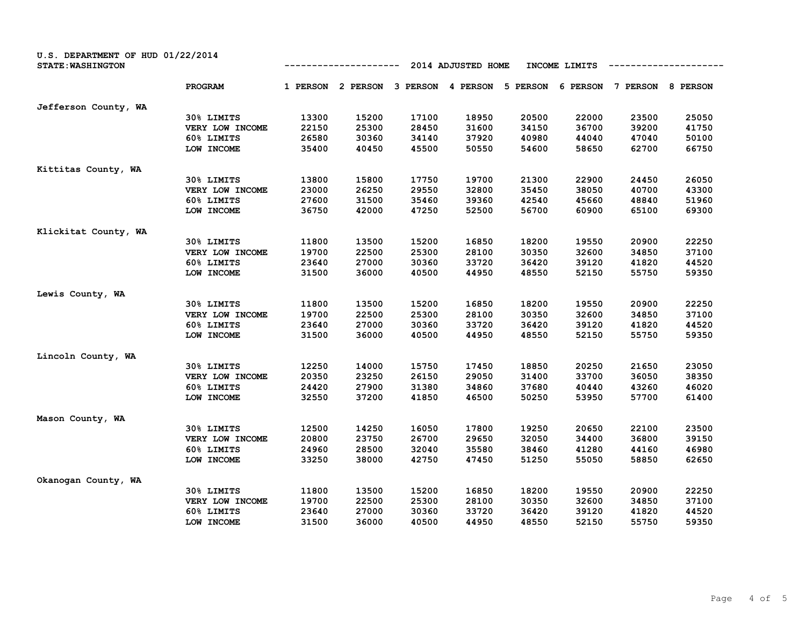| U.S. DEPARTMENT OF HUD 01/22/2014<br><b>STATE: WASHINGTON</b> |                 |          |          |          | 2014 ADJUSTED HOME |          | INCOME LIMITS |          |          |
|---------------------------------------------------------------|-----------------|----------|----------|----------|--------------------|----------|---------------|----------|----------|
|                                                               | PROGRAM         | 1 PERSON | 2 PERSON | 3 PERSON | 4 PERSON           | 5 PERSON | 6 PERSON      | 7 PERSON | 8 PERSON |
| Jefferson County, WA                                          |                 |          |          |          |                    |          |               |          |          |
|                                                               | 30% LIMITS      | 13300    | 15200    | 17100    | 18950              | 20500    | 22000         | 23500    | 25050    |
|                                                               | VERY LOW INCOME | 22150    | 25300    | 28450    | 31600              | 34150    | 36700         | 39200    | 41750    |
|                                                               | 60% LIMITS      | 26580    | 30360    | 34140    | 37920              | 40980    | 44040         | 47040    | 50100    |
|                                                               | LOW INCOME      | 35400    | 40450    | 45500    | 50550              | 54600    | 58650         | 62700    | 66750    |
| Kittitas County, WA                                           |                 |          |          |          |                    |          |               |          |          |
|                                                               | 30% LIMITS      | 13800    | 15800    | 17750    | 19700              | 21300    | 22900         | 24450    | 26050    |
|                                                               | VERY LOW INCOME | 23000    | 26250    | 29550    | 32800              | 35450    | 38050         | 40700    | 43300    |
|                                                               | 60% LIMITS      | 27600    | 31500    | 35460    | 39360              | 42540    | 45660         | 48840    | 51960    |
|                                                               | LOW INCOME      | 36750    | 42000    | 47250    | 52500              | 56700    | 60900         | 65100    | 69300    |
| Klickitat County, WA                                          |                 |          |          |          |                    |          |               |          |          |
|                                                               | 30% LIMITS      | 11800    | 13500    | 15200    | 16850              | 18200    | 19550         | 20900    | 22250    |
|                                                               | VERY LOW INCOME | 19700    | 22500    | 25300    | 28100              | 30350    | 32600         | 34850    | 37100    |
|                                                               | 60% LIMITS      | 23640    | 27000    | 30360    | 33720              | 36420    | 39120         | 41820    | 44520    |
|                                                               | LOW INCOME      | 31500    | 36000    | 40500    | 44950              | 48550    | 52150         | 55750    | 59350    |
| Lewis County, WA                                              |                 |          |          |          |                    |          |               |          |          |
|                                                               | 30% LIMITS      | 11800    | 13500    | 15200    | 16850              | 18200    | 19550         | 20900    | 22250    |
|                                                               | VERY LOW INCOME | 19700    | 22500    | 25300    | 28100              | 30350    | 32600         | 34850    | 37100    |
|                                                               | 60% LIMITS      | 23640    | 27000    | 30360    | 33720              | 36420    | 39120         | 41820    | 44520    |
|                                                               | LOW INCOME      | 31500    | 36000    | 40500    | 44950              | 48550    | 52150         | 55750    | 59350    |
| Lincoln County, WA                                            |                 |          |          |          |                    |          |               |          |          |
|                                                               | 30% LIMITS      | 12250    | 14000    | 15750    | 17450              | 18850    | 20250         | 21650    | 23050    |
|                                                               | VERY LOW INCOME | 20350    | 23250    | 26150    | 29050              | 31400    | 33700         | 36050    | 38350    |
|                                                               | 60% LIMITS      | 24420    | 27900    | 31380    | 34860              | 37680    | 40440         | 43260    | 46020    |
|                                                               | LOW INCOME      | 32550    | 37200    | 41850    | 46500              | 50250    | 53950         | 57700    | 61400    |
|                                                               |                 |          |          |          |                    |          |               |          |          |
| Mason County, WA                                              | 30% LIMITS      | 12500    | 14250    | 16050    | 17800              | 19250    | 20650         | 22100    | 23500    |
|                                                               | VERY LOW INCOME | 20800    | 23750    | 26700    | 29650              | 32050    | 34400         | 36800    | 39150    |
|                                                               | 60% LIMITS      | 24960    | 28500    | 32040    | 35580              | 38460    | 41280         | 44160    | 46980    |
|                                                               | LOW INCOME      | 33250    | 38000    | 42750    | 47450              | 51250    | 55050         | 58850    | 62650    |
|                                                               |                 |          |          |          |                    |          |               |          |          |
| Okanogan County, WA                                           |                 |          |          |          |                    |          |               |          |          |
|                                                               | 30% LIMITS      | 11800    | 13500    | 15200    | 16850              | 18200    | 19550         | 20900    | 22250    |
|                                                               | VERY LOW INCOME | 19700    | 22500    | 25300    | 28100              | 30350    | 32600         | 34850    | 37100    |
|                                                               | 60% LIMITS      | 23640    | 27000    | 30360    | 33720              | 36420    | 39120         | 41820    | 44520    |
|                                                               | LOW INCOME      | 31500    | 36000    | 40500    | 44950              | 48550    | 52150         | 55750    | 59350    |